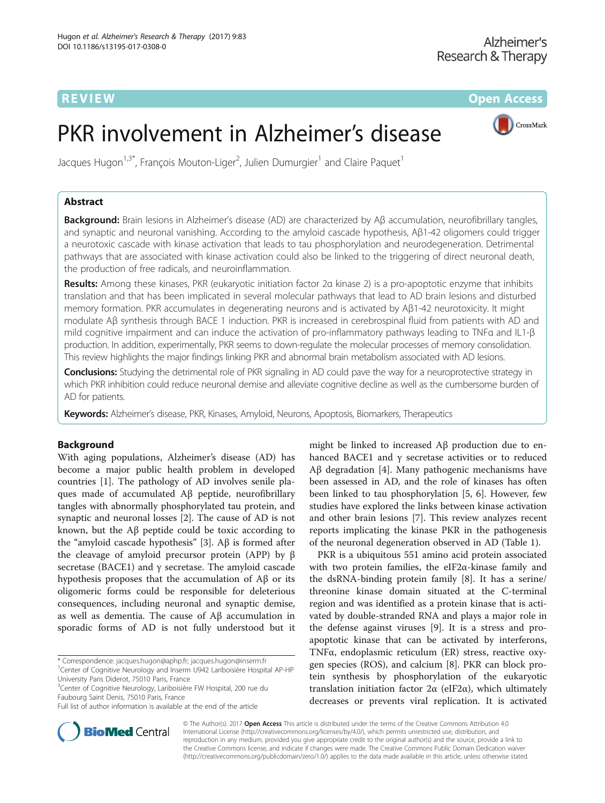REVIEW **REVIEW REVIEW CONSTRUCTER CONSTRUCTS** 

CrossMark

# PKR involvement in Alzheimer's disease

Jacques Hugon $^{1,3^{\ast}}$ , François Mouton-Liger $^2$ , Julien Dumurgier $^1$  and Claire Paquet $^1$ 

# Abstract

Background: Brain lesions in Alzheimer's disease (AD) are characterized by Aβ accumulation, neurofibrillary tangles, and synaptic and neuronal vanishing. According to the amyloid cascade hypothesis, Aβ1-42 oligomers could trigger a neurotoxic cascade with kinase activation that leads to tau phosphorylation and neurodegeneration. Detrimental pathways that are associated with kinase activation could also be linked to the triggering of direct neuronal death, the production of free radicals, and neuroinflammation.

Results: Among these kinases, PKR (eukaryotic initiation factor 2α kinase 2) is a pro-apoptotic enzyme that inhibits translation and that has been implicated in several molecular pathways that lead to AD brain lesions and disturbed memory formation. PKR accumulates in degenerating neurons and is activated by Aβ1-42 neurotoxicity. It might modulate Aβ synthesis through BACE 1 induction. PKR is increased in cerebrospinal fluid from patients with AD and mild cognitive impairment and can induce the activation of pro-inflammatory pathways leading to TNFα and IL1-β production. In addition, experimentally, PKR seems to down-regulate the molecular processes of memory consolidation. This review highlights the major findings linking PKR and abnormal brain metabolism associated with AD lesions.

Conclusions: Studying the detrimental role of PKR signaling in AD could pave the way for a neuroprotective strategy in which PKR inhibition could reduce neuronal demise and alleviate cognitive decline as well as the cumbersome burden of AD for patients.

Keywords: Alzheimer's disease, PKR, Kinases, Amyloid, Neurons, Apoptosis, Biomarkers, Therapeutics

# Background

With aging populations, Alzheimer's disease (AD) has become a major public health problem in developed countries [[1\]](#page-7-0). The pathology of AD involves senile plaques made of accumulated Aβ peptide, neurofibrillary tangles with abnormally phosphorylated tau protein, and synaptic and neuronal losses [[2\]](#page-7-0). The cause of AD is not known, but the Aβ peptide could be toxic according to the "amyloid cascade hypothesis" [\[3](#page-7-0)]. Aβ is formed after the cleavage of amyloid precursor protein (APP) by β secretase (BACE1) and  $\gamma$  secretase. The amyloid cascade hypothesis proposes that the accumulation of Aβ or its oligomeric forms could be responsible for deleterious consequences, including neuronal and synaptic demise, as well as dementia. The cause of Aβ accumulation in sporadic forms of AD is not fully understood but it

\* Correspondence: [jacques.hugon@aphp.fr](mailto:jacques.hugon@aphp.fr); [jacques.hugon@inserm.fr](mailto:jacques.hugon@inserm.fr) <sup>1</sup>

<sup>3</sup>Center of Cognitive Neurology, Lariboisière FW Hospital, 200 rue du Faubourg Saint Denis, 75010 Paris, France

might be linked to increased Aβ production due to enhanced BACE1 and γ secretase activities or to reduced Aβ degradation [[4\]](#page-7-0). Many pathogenic mechanisms have been assessed in AD, and the role of kinases has often been linked to tau phosphorylation [\[5](#page-7-0), [6\]](#page-7-0). However, few studies have explored the links between kinase activation and other brain lesions [[7\]](#page-7-0). This review analyzes recent reports implicating the kinase PKR in the pathogenesis of the neuronal degeneration observed in AD (Table [1](#page-1-0)).

PKR is a ubiquitous 551 amino acid protein associated with two protein families, the eIF2 $\alpha$ -kinase family and the dsRNA-binding protein family [[8\]](#page-7-0). It has a serine/ threonine kinase domain situated at the C-terminal region and was identified as a protein kinase that is activated by double-stranded RNA and plays a major role in the defense against viruses [[9\]](#page-7-0). It is a stress and proapoptotic kinase that can be activated by interferons, TNFα, endoplasmic reticulum (ER) stress, reactive oxygen species (ROS), and calcium [\[8](#page-7-0)]. PKR can block protein synthesis by phosphorylation of the eukaryotic translation initiation factor 2α (eIF2α), which ultimately decreases or prevents viral replication. It is activated



© The Author(s). 2017 **Open Access** This article is distributed under the terms of the Creative Commons Attribution 4.0 International License [\(http://creativecommons.org/licenses/by/4.0/](http://creativecommons.org/licenses/by/4.0/)), which permits unrestricted use, distribution, and reproduction in any medium, provided you give appropriate credit to the original author(s) and the source, provide a link to the Creative Commons license, and indicate if changes were made. The Creative Commons Public Domain Dedication waiver [\(http://creativecommons.org/publicdomain/zero/1.0/](http://creativecommons.org/publicdomain/zero/1.0/)) applies to the data made available in this article, unless otherwise stated.

<sup>&</sup>lt;sup>1</sup> Center of Cognitive Neurology and Inserm U942 Lariboisière Hospital AP-HP University Paris Diderot, 75010 Paris, France

Full list of author information is available at the end of the article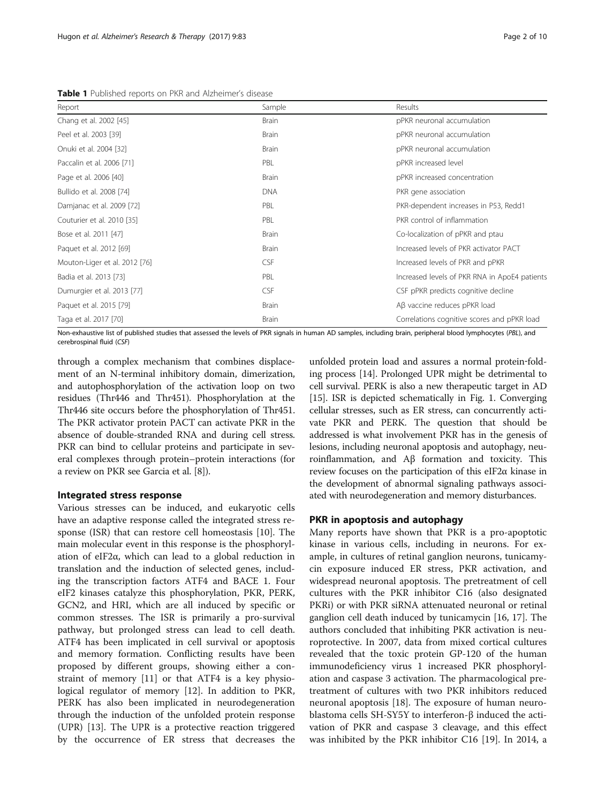<span id="page-1-0"></span>Table 1 Published reports on PKR and Alzheimer's disease

| Report                        | Sample       | Results                                       |
|-------------------------------|--------------|-----------------------------------------------|
| Chang et al. 2002 [45]        | <b>Brain</b> | pPKR neuronal accumulation                    |
| Peel et al. 2003 [39]         | <b>Brain</b> | pPKR neuronal accumulation                    |
| Onuki et al. 2004 [32]        | <b>Brain</b> | pPKR neuronal accumulation                    |
| Paccalin et al. 2006 [71]     | PBL          | pPKR increased level                          |
| Page et al. 2006 [40]         | <b>Brain</b> | pPKR increased concentration                  |
| Bullido et al. 2008 [74]      | <b>DNA</b>   | PKR gene association                          |
| Damjanac et al. 2009 [72]     | PBL          | PKR-dependent increases in P53, Redd1         |
| Couturier et al. 2010 [35]    | PBL          | PKR control of inflammation                   |
| Bose et al. 2011 [47]         | <b>Brain</b> | Co-localization of pPKR and ptau              |
| Paquet et al. 2012 [69]       | <b>Brain</b> | Increased levels of PKR activator PACT        |
| Mouton-Liger et al. 2012 [76] | <b>CSF</b>   | Increased levels of PKR and pPKR              |
| Badia et al. 2013 [73]        | PBL          | Increased levels of PKR RNA in ApoE4 patients |
| Dumurgier et al. 2013 [77]    | <b>CSF</b>   | CSF pPKR predicts cognitive decline           |
| Paquet et al. 2015 [79]       | <b>Brain</b> | Aβ vaccine reduces pPKR load                  |
| Taga et al. 2017 [70]         | <b>Brain</b> | Correlations cognitive scores and pPKR load   |

Non-exhaustive list of published studies that assessed the levels of PKR signals in human AD samples, including brain, peripheral blood lymphocytes (PBL), and cerebrospinal fluid (CSF)

through a complex mechanism that combines displacement of an N-terminal inhibitory domain, dimerization, and autophosphorylation of the activation loop on two residues (Thr446 and Thr451). Phosphorylation at the Thr446 site occurs before the phosphorylation of Thr451. The PKR activator protein PACT can activate PKR in the absence of double-stranded RNA and during cell stress. PKR can bind to cellular proteins and participate in several complexes through protein–protein interactions (for a review on PKR see Garcia et al. [\[8](#page-7-0)]).

## Integrated stress response

Various stresses can be induced, and eukaryotic cells have an adaptive response called the integrated stress response (ISR) that can restore cell homeostasis [[10](#page-7-0)]. The main molecular event in this response is the phosphorylation of eIF2 $\alpha$ , which can lead to a global reduction in translation and the induction of selected genes, including the transcription factors ATF4 and BACE 1. Four eIF2 kinases catalyze this phosphorylation, PKR, PERK, GCN2, and HRI, which are all induced by specific or common stresses. The ISR is primarily a pro-survival pathway, but prolonged stress can lead to cell death. ATF4 has been implicated in cell survival or apoptosis and memory formation. Conflicting results have been proposed by different groups, showing either a constraint of memory [\[11\]](#page-7-0) or that ATF4 is a key physiological regulator of memory [[12](#page-7-0)]. In addition to PKR, PERK has also been implicated in neurodegeneration through the induction of the unfolded protein response (UPR) [\[13](#page-7-0)]. The UPR is a protective reaction triggered by the occurrence of ER stress that decreases the

unfolded protein load and assures a normal protein‐folding process [[14](#page-7-0)]. Prolonged UPR might be detrimental to cell survival. PERK is also a new therapeutic target in AD [[15](#page-7-0)]. ISR is depicted schematically in Fig. [1](#page-2-0). Converging cellular stresses, such as ER stress, can concurrently activate PKR and PERK. The question that should be addressed is what involvement PKR has in the genesis of lesions, including neuronal apoptosis and autophagy, neuroinflammation, and Aβ formation and toxicity. This review focuses on the participation of this eIF2α kinase in the development of abnormal signaling pathways associated with neurodegeneration and memory disturbances.

# PKR in apoptosis and autophagy

Many reports have shown that PKR is a pro-apoptotic kinase in various cells, including in neurons. For example, in cultures of retinal ganglion neurons, tunicamycin exposure induced ER stress, PKR activation, and widespread neuronal apoptosis. The pretreatment of cell cultures with the PKR inhibitor C16 (also designated PKRi) or with PKR siRNA attenuated neuronal or retinal ganglion cell death induced by tunicamycin [\[16](#page-7-0), [17](#page-7-0)]. The authors concluded that inhibiting PKR activation is neuroprotective. In 2007, data from mixed cortical cultures revealed that the toxic protein GP-120 of the human immunodeficiency virus 1 increased PKR phosphorylation and caspase 3 activation. The pharmacological pretreatment of cultures with two PKR inhibitors reduced neuronal apoptosis [\[18](#page-7-0)]. The exposure of human neuroblastoma cells SH-SY5Y to interferon-β induced the activation of PKR and caspase 3 cleavage, and this effect was inhibited by the PKR inhibitor C16 [[19](#page-7-0)]. In 2014, a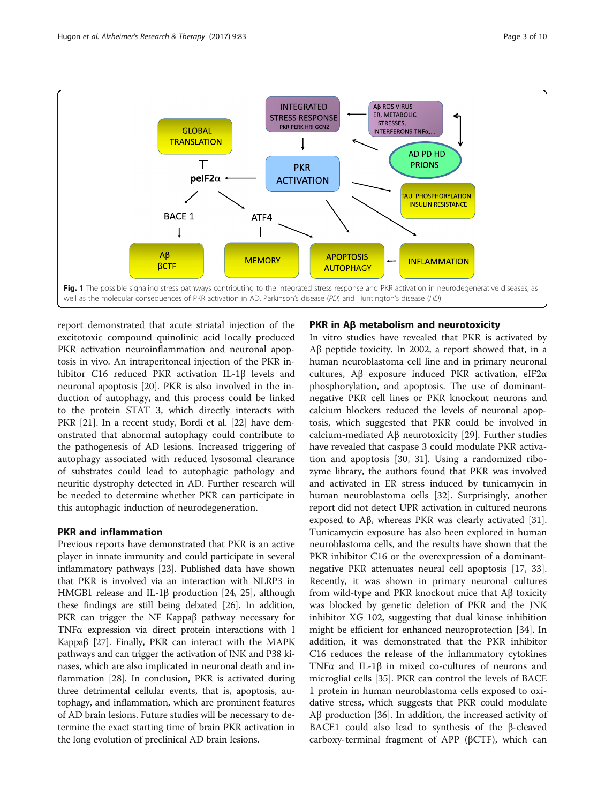<span id="page-2-0"></span>

report demonstrated that acute striatal injection of the excitotoxic compound quinolinic acid locally produced PKR activation neuroinflammation and neuronal apoptosis in vivo. An intraperitoneal injection of the PKR inhibitor C16 reduced PKR activation IL-1β levels and neuronal apoptosis [\[20\]](#page-7-0). PKR is also involved in the induction of autophagy, and this process could be linked to the protein STAT 3, which directly interacts with PKR [[21](#page-8-0)]. In a recent study, Bordi et al. [\[22](#page-8-0)] have demonstrated that abnormal autophagy could contribute to the pathogenesis of AD lesions. Increased triggering of autophagy associated with reduced lysosomal clearance of substrates could lead to autophagic pathology and neuritic dystrophy detected in AD. Further research will be needed to determine whether PKR can participate in this autophagic induction of neurodegeneration.

# PKR and inflammation

Previous reports have demonstrated that PKR is an active player in innate immunity and could participate in several inflammatory pathways [[23](#page-8-0)]. Published data have shown that PKR is involved via an interaction with NLRP3 in HMGB1 release and IL-1β production [\[24, 25](#page-8-0)], although these findings are still being debated [\[26\]](#page-8-0). In addition, PKR can trigger the NF Kappaβ pathway necessary for TNFα expression via direct protein interactions with I Kappaβ [[27](#page-8-0)]. Finally, PKR can interact with the MAPK pathways and can trigger the activation of JNK and P38 kinases, which are also implicated in neuronal death and inflammation [\[28\]](#page-8-0). In conclusion, PKR is activated during three detrimental cellular events, that is, apoptosis, autophagy, and inflammation, which are prominent features of AD brain lesions. Future studies will be necessary to determine the exact starting time of brain PKR activation in the long evolution of preclinical AD brain lesions.

# PKR in Aβ metabolism and neurotoxicity

In vitro studies have revealed that PKR is activated by Aβ peptide toxicity. In 2002, a report showed that, in a human neuroblastoma cell line and in primary neuronal cultures, Aβ exposure induced PKR activation, eIF2α phosphorylation, and apoptosis. The use of dominantnegative PKR cell lines or PKR knockout neurons and calcium blockers reduced the levels of neuronal apoptosis, which suggested that PKR could be involved in calcium-mediated Aβ neurotoxicity [[29](#page-8-0)]. Further studies have revealed that caspase 3 could modulate PKR activation and apoptosis [[30](#page-8-0), [31](#page-8-0)]. Using a randomized ribozyme library, the authors found that PKR was involved and activated in ER stress induced by tunicamycin in human neuroblastoma cells [[32](#page-8-0)]. Surprisingly, another report did not detect UPR activation in cultured neurons exposed to Aβ, whereas PKR was clearly activated [\[31](#page-8-0)]. Tunicamycin exposure has also been explored in human neuroblastoma cells, and the results have shown that the PKR inhibitor C16 or the overexpression of a dominantnegative PKR attenuates neural cell apoptosis [[17,](#page-7-0) [33](#page-8-0)]. Recently, it was shown in primary neuronal cultures from wild-type and PKR knockout mice that Aβ toxicity was blocked by genetic deletion of PKR and the JNK inhibitor XG 102, suggesting that dual kinase inhibition might be efficient for enhanced neuroprotection [\[34](#page-8-0)]. In addition, it was demonstrated that the PKR inhibitor C16 reduces the release of the inflammatory cytokines TNFα and IL-1β in mixed co-cultures of neurons and microglial cells [\[35](#page-8-0)]. PKR can control the levels of BACE 1 protein in human neuroblastoma cells exposed to oxidative stress, which suggests that PKR could modulate Aβ production [[36](#page-8-0)]. In addition, the increased activity of BACE1 could also lead to synthesis of the β-cleaved carboxy-terminal fragment of APP (βCTF), which can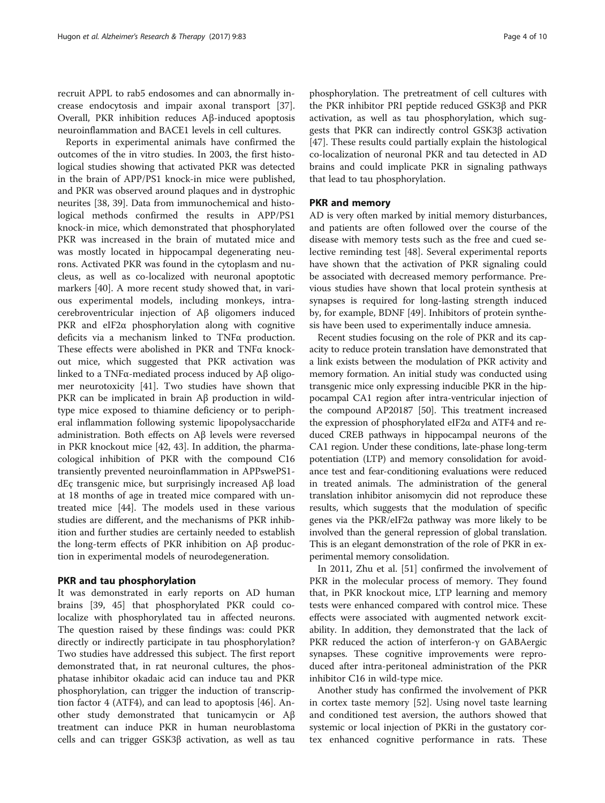recruit APPL to rab5 endosomes and can abnormally increase endocytosis and impair axonal transport [\[37](#page-8-0)]. Overall, PKR inhibition reduces Aβ-induced apoptosis neuroinflammation and BACE1 levels in cell cultures.

Reports in experimental animals have confirmed the outcomes of the in vitro studies. In 2003, the first histological studies showing that activated PKR was detected in the brain of APP/PS1 knock-in mice were published, and PKR was observed around plaques and in dystrophic neurites [[38, 39\]](#page-8-0). Data from immunochemical and histological methods confirmed the results in APP/PS1 knock-in mice, which demonstrated that phosphorylated PKR was increased in the brain of mutated mice and was mostly located in hippocampal degenerating neurons. Activated PKR was found in the cytoplasm and nucleus, as well as co-localized with neuronal apoptotic markers [\[40](#page-8-0)]. A more recent study showed that, in various experimental models, including monkeys, intracerebroventricular injection of Aβ oligomers induced PKR and eIF2 $\alpha$  phosphorylation along with cognitive deficits via a mechanism linked to TNFα production. These effects were abolished in PKR and TNFα knockout mice, which suggested that PKR activation was linked to a TNFα-mediated process induced by Aβ oligomer neurotoxicity [[41\]](#page-8-0). Two studies have shown that PKR can be implicated in brain Aβ production in wildtype mice exposed to thiamine deficiency or to peripheral inflammation following systemic lipopolysaccharide administration. Both effects on Aβ levels were reversed in PKR knockout mice [\[42, 43\]](#page-8-0). In addition, the pharmacological inhibition of PKR with the compound C16 transiently prevented neuroinflammation in APPswePS1 dEç transgenic mice, but surprisingly increased Aβ load at 18 months of age in treated mice compared with untreated mice [\[44\]](#page-8-0). The models used in these various studies are different, and the mechanisms of PKR inhibition and further studies are certainly needed to establish the long-term effects of PKR inhibition on Aβ production in experimental models of neurodegeneration.

# PKR and tau phosphorylation

It was demonstrated in early reports on AD human brains [[39](#page-8-0), [45](#page-8-0)] that phosphorylated PKR could colocalize with phosphorylated tau in affected neurons. The question raised by these findings was: could PKR directly or indirectly participate in tau phosphorylation? Two studies have addressed this subject. The first report demonstrated that, in rat neuronal cultures, the phosphatase inhibitor okadaic acid can induce tau and PKR phosphorylation, can trigger the induction of transcription factor 4 (ATF4), and can lead to apoptosis [\[46](#page-8-0)]. Another study demonstrated that tunicamycin or Aβ treatment can induce PKR in human neuroblastoma cells and can trigger GSK3β activation, as well as tau

phosphorylation. The pretreatment of cell cultures with the PKR inhibitor PRI peptide reduced GSK3β and PKR activation, as well as tau phosphorylation, which suggests that PKR can indirectly control GSK3β activation [[47\]](#page-8-0). These results could partially explain the histological co-localization of neuronal PKR and tau detected in AD brains and could implicate PKR in signaling pathways that lead to tau phosphorylation.

# PKR and memory

AD is very often marked by initial memory disturbances, and patients are often followed over the course of the disease with memory tests such as the free and cued selective reminding test [\[48](#page-8-0)]. Several experimental reports have shown that the activation of PKR signaling could be associated with decreased memory performance. Previous studies have shown that local protein synthesis at synapses is required for long-lasting strength induced by, for example, BDNF [\[49](#page-8-0)]. Inhibitors of protein synthesis have been used to experimentally induce amnesia.

Recent studies focusing on the role of PKR and its capacity to reduce protein translation have demonstrated that a link exists between the modulation of PKR activity and memory formation. An initial study was conducted using transgenic mice only expressing inducible PKR in the hippocampal CA1 region after intra-ventricular injection of the compound AP20187 [[50](#page-8-0)]. This treatment increased the expression of phosphorylated eIF2α and ATF4 and reduced CREB pathways in hippocampal neurons of the CA1 region. Under these conditions, late-phase long-term potentiation (LTP) and memory consolidation for avoidance test and fear-conditioning evaluations were reduced in treated animals. The administration of the general translation inhibitor anisomycin did not reproduce these results, which suggests that the modulation of specific genes via the PKR/eIF2α pathway was more likely to be involved than the general repression of global translation. This is an elegant demonstration of the role of PKR in experimental memory consolidation.

In 2011, Zhu et al. [\[51\]](#page-8-0) confirmed the involvement of PKR in the molecular process of memory. They found that, in PKR knockout mice, LTP learning and memory tests were enhanced compared with control mice. These effects were associated with augmented network excitability. In addition, they demonstrated that the lack of PKR reduced the action of interferon-γ on GABAergic synapses. These cognitive improvements were reproduced after intra-peritoneal administration of the PKR inhibitor C16 in wild-type mice.

Another study has confirmed the involvement of PKR in cortex taste memory [\[52\]](#page-8-0). Using novel taste learning and conditioned test aversion, the authors showed that systemic or local injection of PKRi in the gustatory cortex enhanced cognitive performance in rats. These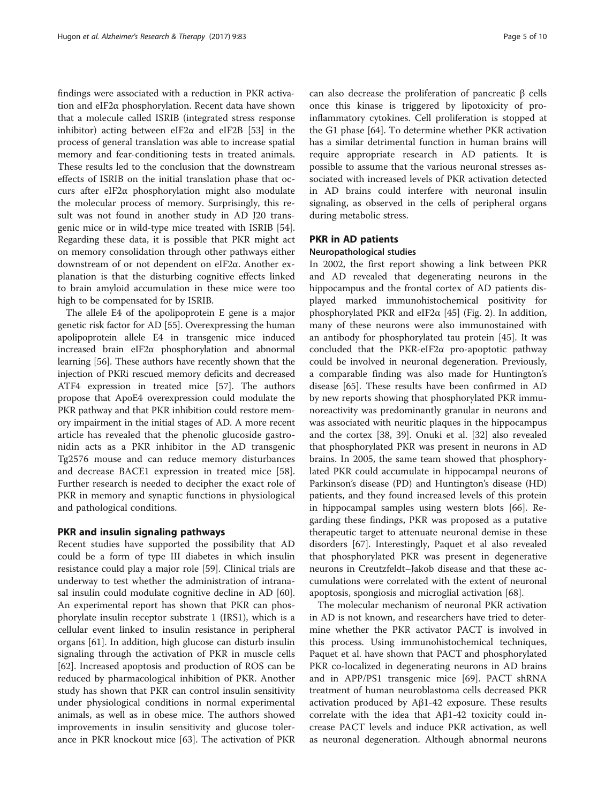findings were associated with a reduction in PKR activation and eIF2α phosphorylation. Recent data have shown that a molecule called ISRIB (integrated stress response inhibitor) acting between eIF2 $\alpha$  and eIF2B [\[53\]](#page-8-0) in the process of general translation was able to increase spatial memory and fear-conditioning tests in treated animals. These results led to the conclusion that the downstream effects of ISRIB on the initial translation phase that occurs after eIF2α phosphorylation might also modulate the molecular process of memory. Surprisingly, this result was not found in another study in AD J20 transgenic mice or in wild-type mice treated with ISRIB [\[54](#page-8-0)]. Regarding these data, it is possible that PKR might act on memory consolidation through other pathways either downstream of or not dependent on eIF2α. Another explanation is that the disturbing cognitive effects linked to brain amyloid accumulation in these mice were too high to be compensated for by ISRIB.

The allele E4 of the apolipoprotein E gene is a major genetic risk factor for AD [[55\]](#page-8-0). Overexpressing the human apolipoprotein allele E4 in transgenic mice induced increased brain eIF2α phosphorylation and abnormal learning [\[56\]](#page-8-0). These authors have recently shown that the injection of PKRi rescued memory deficits and decreased ATF4 expression in treated mice [\[57\]](#page-8-0). The authors propose that ApoE4 overexpression could modulate the PKR pathway and that PKR inhibition could restore memory impairment in the initial stages of AD. A more recent article has revealed that the phenolic glucoside gastronidin acts as a PKR inhibitor in the AD transgenic Tg2576 mouse and can reduce memory disturbances and decrease BACE1 expression in treated mice [\[58](#page-8-0)]. Further research is needed to decipher the exact role of PKR in memory and synaptic functions in physiological and pathological conditions.

## PKR and insulin signaling pathways

Recent studies have supported the possibility that AD could be a form of type III diabetes in which insulin resistance could play a major role [\[59\]](#page-8-0). Clinical trials are underway to test whether the administration of intranasal insulin could modulate cognitive decline in AD [\[60](#page-8-0)]. An experimental report has shown that PKR can phosphorylate insulin receptor substrate 1 (IRS1), which is a cellular event linked to insulin resistance in peripheral organs [\[61\]](#page-8-0). In addition, high glucose can disturb insulin signaling through the activation of PKR in muscle cells [[62\]](#page-8-0). Increased apoptosis and production of ROS can be reduced by pharmacological inhibition of PKR. Another study has shown that PKR can control insulin sensitivity under physiological conditions in normal experimental animals, as well as in obese mice. The authors showed improvements in insulin sensitivity and glucose tolerance in PKR knockout mice [[63\]](#page-9-0). The activation of PKR can also decrease the proliferation of pancreatic β cells once this kinase is triggered by lipotoxicity of proinflammatory cytokines. Cell proliferation is stopped at the G1 phase [[64\]](#page-9-0). To determine whether PKR activation has a similar detrimental function in human brains will require appropriate research in AD patients. It is possible to assume that the various neuronal stresses associated with increased levels of PKR activation detected in AD brains could interfere with neuronal insulin signaling, as observed in the cells of peripheral organs during metabolic stress.

# PKR in AD patients

## Neuropathological studies

In 2002, the first report showing a link between PKR and AD revealed that degenerating neurons in the hippocampus and the frontal cortex of AD patients displayed marked immunohistochemical positivity for phosphorylated PKR and eIF2 $\alpha$  [\[45\]](#page-8-0) (Fig. [2](#page-5-0)). In addition, many of these neurons were also immunostained with an antibody for phosphorylated tau protein [[45\]](#page-8-0). It was concluded that the PKR-eIF2α pro-apoptotic pathway could be involved in neuronal degeneration. Previously, a comparable finding was also made for Huntington's disease [[65\]](#page-9-0). These results have been confirmed in AD by new reports showing that phosphorylated PKR immunoreactivity was predominantly granular in neurons and was associated with neuritic plaques in the hippocampus and the cortex [[38, 39\]](#page-8-0). Onuki et al. [[32\]](#page-8-0) also revealed that phosphorylated PKR was present in neurons in AD brains. In 2005, the same team showed that phosphorylated PKR could accumulate in hippocampal neurons of Parkinson's disease (PD) and Huntington's disease (HD) patients, and they found increased levels of this protein in hippocampal samples using western blots [\[66](#page-9-0)]. Regarding these findings, PKR was proposed as a putative therapeutic target to attenuate neuronal demise in these disorders [\[67\]](#page-9-0). Interestingly, Paquet et al also revealed that phosphorylated PKR was present in degenerative neurons in Creutzfeldt–Jakob disease and that these accumulations were correlated with the extent of neuronal apoptosis, spongiosis and microglial activation [[68\]](#page-9-0).

The molecular mechanism of neuronal PKR activation in AD is not known, and researchers have tried to determine whether the PKR activator PACT is involved in this process. Using immunohistochemical techniques, Paquet et al. have shown that PACT and phosphorylated PKR co-localized in degenerating neurons in AD brains and in APP/PS1 transgenic mice [\[69\]](#page-9-0). PACT shRNA treatment of human neuroblastoma cells decreased PKR activation produced by  $Aβ1-42$  exposure. These results correlate with the idea that Aβ1-42 toxicity could increase PACT levels and induce PKR activation, as well as neuronal degeneration. Although abnormal neurons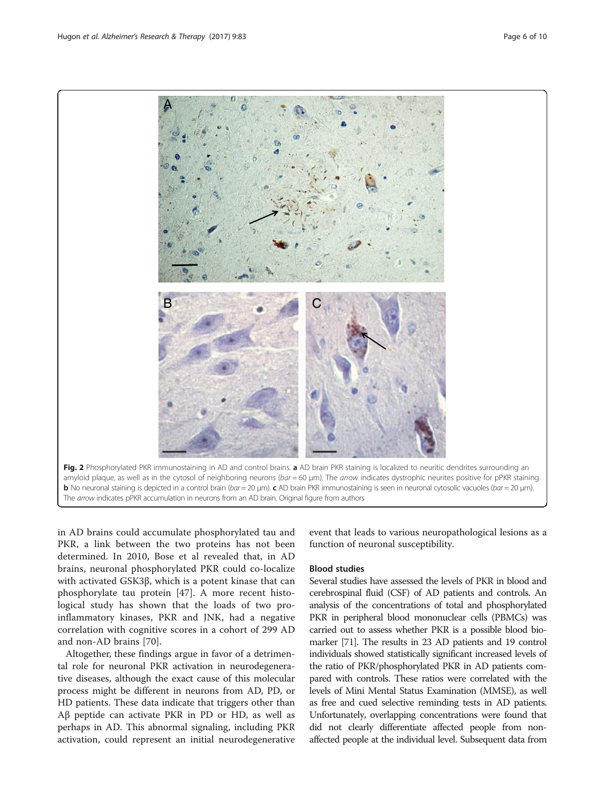<span id="page-5-0"></span>

in AD brains could accumulate phosphorylated tau and PKR, a link between the two proteins has not been determined. In 2010, Bose et al revealed that, in AD brains, neuronal phosphorylated PKR could co-localize with activated GSK3β, which is a potent kinase that can phosphorylate tau protein [[47\]](#page-8-0). A more recent histological study has shown that the loads of two proinflammatory kinases, PKR and JNK, had a negative correlation with cognitive scores in a cohort of 299 AD and non-AD brains [[70\]](#page-9-0).

Altogether, these findings argue in favor of a detrimental role for neuronal PKR activation in neurodegenerative diseases, although the exact cause of this molecular process might be different in neurons from AD, PD, or HD patients. These data indicate that triggers other than Aβ peptide can activate PKR in PD or HD, as well as perhaps in AD. This abnormal signaling, including PKR activation, could represent an initial neurodegenerative event that leads to various neuropathological lesions as a function of neuronal susceptibility.

# Blood studies

Several studies have assessed the levels of PKR in blood and cerebrospinal fluid (CSF) of AD patients and controls. An analysis of the concentrations of total and phosphorylated PKR in peripheral blood mononuclear cells (PBMCs) was carried out to assess whether PKR is a possible blood biomarker [\[71](#page-9-0)]. The results in 23 AD patients and 19 control individuals showed statistically significant increased levels of the ratio of PKR/phosphorylated PKR in AD patients compared with controls. These ratios were correlated with the levels of Mini Mental Status Examination (MMSE), as well as free and cued selective reminding tests in AD patients. Unfortunately, overlapping concentrations were found that did not clearly differentiate affected people from nonaffected people at the individual level. Subsequent data from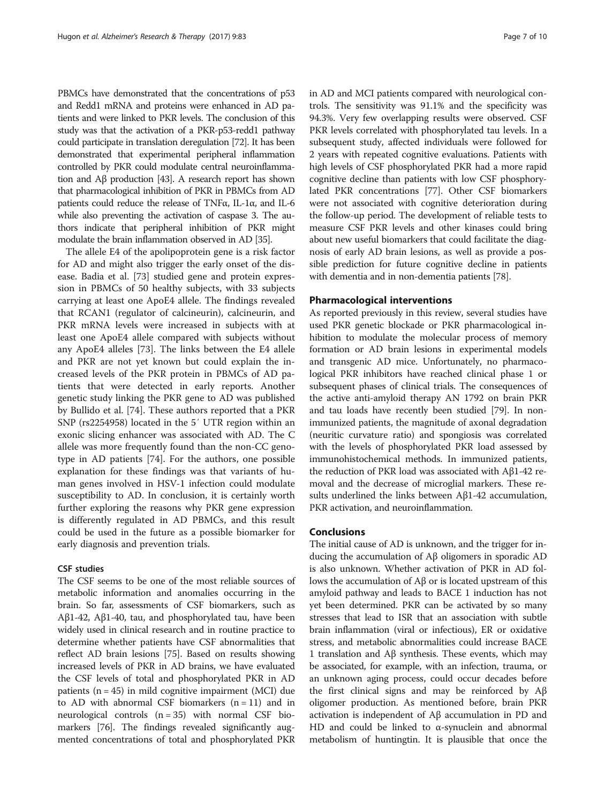PBMCs have demonstrated that the concentrations of p53 and Redd1 mRNA and proteins were enhanced in AD patients and were linked to PKR levels. The conclusion of this study was that the activation of a PKR-p53-redd1 pathway could participate in translation deregulation [\[72](#page-9-0)]. It has been demonstrated that experimental peripheral inflammation controlled by PKR could modulate central neuroinflammation and Aβ production [[43\]](#page-8-0). A research report has shown that pharmacological inhibition of PKR in PBMCs from AD patients could reduce the release of TNFα, IL-1α, and IL-6 while also preventing the activation of caspase 3. The authors indicate that peripheral inhibition of PKR might modulate the brain inflammation observed in AD [\[35](#page-8-0)].

The allele E4 of the apolipoprotein gene is a risk factor for AD and might also trigger the early onset of the disease. Badia et al. [\[73](#page-9-0)] studied gene and protein expression in PBMCs of 50 healthy subjects, with 33 subjects carrying at least one ApoE4 allele. The findings revealed that RCAN1 (regulator of calcineurin), calcineurin, and PKR mRNA levels were increased in subjects with at least one ApoE4 allele compared with subjects without any ApoE4 alleles [\[73](#page-9-0)]. The links between the E4 allele and PKR are not yet known but could explain the increased levels of the PKR protein in PBMCs of AD patients that were detected in early reports. Another genetic study linking the PKR gene to AD was published by Bullido et al. [[74\]](#page-9-0). These authors reported that a PKR SNP (rs2254958) located in the 5′ UTR region within an exonic slicing enhancer was associated with AD. The C allele was more frequently found than the non-CC genotype in AD patients [[74](#page-9-0)]. For the authors, one possible explanation for these findings was that variants of human genes involved in HSV-1 infection could modulate susceptibility to AD. In conclusion, it is certainly worth further exploring the reasons why PKR gene expression is differently regulated in AD PBMCs, and this result could be used in the future as a possible biomarker for early diagnosis and prevention trials.

## CSF studies

The CSF seems to be one of the most reliable sources of metabolic information and anomalies occurring in the brain. So far, assessments of CSF biomarkers, such as Aβ1-42, Aβ1-40, tau, and phosphorylated tau, have been widely used in clinical research and in routine practice to determine whether patients have CSF abnormalities that reflect AD brain lesions [[75](#page-9-0)]. Based on results showing increased levels of PKR in AD brains, we have evaluated the CSF levels of total and phosphorylated PKR in AD patients ( $n = 45$ ) in mild cognitive impairment (MCI) due to AD with abnormal CSF biomarkers  $(n = 11)$  and in neurological controls  $(n = 35)$  with normal CSF biomarkers [\[76](#page-9-0)]. The findings revealed significantly augmented concentrations of total and phosphorylated PKR in AD and MCI patients compared with neurological controls. The sensitivity was 91.1% and the specificity was 94.3%. Very few overlapping results were observed. CSF PKR levels correlated with phosphorylated tau levels. In a subsequent study, affected individuals were followed for 2 years with repeated cognitive evaluations. Patients with high levels of CSF phosphorylated PKR had a more rapid cognitive decline than patients with low CSF phosphorylated PKR concentrations [\[77\]](#page-9-0). Other CSF biomarkers were not associated with cognitive deterioration during the follow-up period. The development of reliable tests to measure CSF PKR levels and other kinases could bring about new useful biomarkers that could facilitate the diagnosis of early AD brain lesions, as well as provide a possible prediction for future cognitive decline in patients with dementia and in non-dementia patients [\[78](#page-9-0)].

## Pharmacological interventions

As reported previously in this review, several studies have used PKR genetic blockade or PKR pharmacological inhibition to modulate the molecular process of memory formation or AD brain lesions in experimental models and transgenic AD mice. Unfortunately, no pharmacological PKR inhibitors have reached clinical phase 1 or subsequent phases of clinical trials. The consequences of the active anti-amyloid therapy AN 1792 on brain PKR and tau loads have recently been studied [[79](#page-9-0)]. In nonimmunized patients, the magnitude of axonal degradation (neuritic curvature ratio) and spongiosis was correlated with the levels of phosphorylated PKR load assessed by immunohistochemical methods. In immunized patients, the reduction of PKR load was associated with Aβ1-42 removal and the decrease of microglial markers. These results underlined the links between Aβ1-42 accumulation, PKR activation, and neuroinflammation.

## Conclusions

The initial cause of AD is unknown, and the trigger for inducing the accumulation of Aβ oligomers in sporadic AD is also unknown. Whether activation of PKR in AD follows the accumulation of Aβ or is located upstream of this amyloid pathway and leads to BACE 1 induction has not yet been determined. PKR can be activated by so many stresses that lead to ISR that an association with subtle brain inflammation (viral or infectious), ER or oxidative stress, and metabolic abnormalities could increase BACE 1 translation and Aβ synthesis. These events, which may be associated, for example, with an infection, trauma, or an unknown aging process, could occur decades before the first clinical signs and may be reinforced by Aβ oligomer production. As mentioned before, brain PKR activation is independent of Aβ accumulation in PD and HD and could be linked to  $\alpha$ -synuclein and abnormal metabolism of huntingtin. It is plausible that once the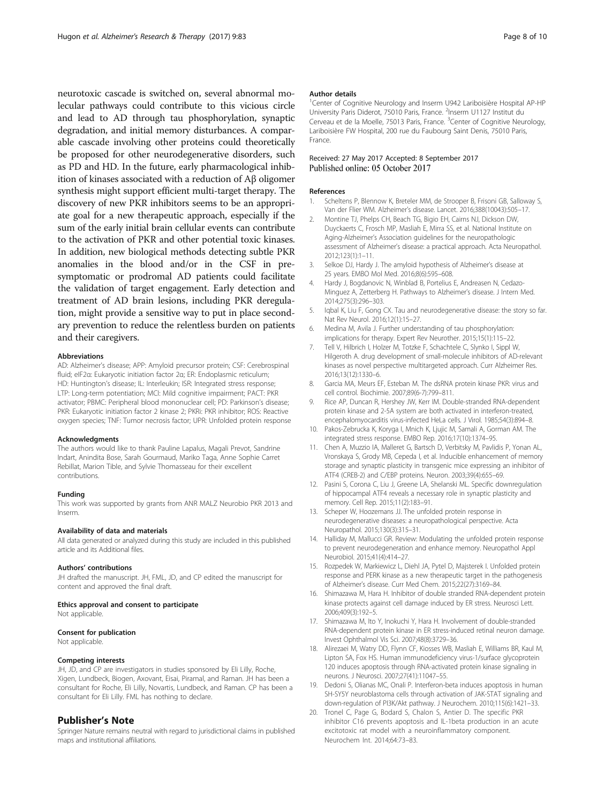<span id="page-7-0"></span>neurotoxic cascade is switched on, several abnormal molecular pathways could contribute to this vicious circle and lead to AD through tau phosphorylation, synaptic degradation, and initial memory disturbances. A comparable cascade involving other proteins could theoretically be proposed for other neurodegenerative disorders, such as PD and HD. In the future, early pharmacological inhibition of kinases associated with a reduction of Aβ oligomer synthesis might support efficient multi-target therapy. The discovery of new PKR inhibitors seems to be an appropriate goal for a new therapeutic approach, especially if the sum of the early initial brain cellular events can contribute to the activation of PKR and other potential toxic kinases. In addition, new biological methods detecting subtle PKR anomalies in the blood and/or in the CSF in presymptomatic or prodromal AD patients could facilitate the validation of target engagement. Early detection and treatment of AD brain lesions, including PKR deregulation, might provide a sensitive way to put in place secondary prevention to reduce the relentless burden on patients and their caregivers.

#### Abbreviations

AD: Alzheimer's disease; APP: Amyloid precursor protein; CSF: Cerebrospinal fluid; eIF2α: Eukaryotic initiation factor 2α; ER: Endoplasmic reticulum; HD: Huntington's disease; IL: Interleukin; ISR: Integrated stress response; LTP: Long-term potentiation; MCI: Mild cognitive impairment; PACT: PKR activator; PBMC: Peripheral blood mononuclear cell; PD: Parkinson's disease; PKR: Eukaryotic initiation factor 2 kinase 2; PKRi: PKR inhibitor; ROS: Reactive oxygen species; TNF: Tumor necrosis factor; UPR: Unfolded protein response

#### Acknowledgments

The authors would like to thank Pauline Lapalus, Magali Prevot, Sandrine Indart, Anindita Bose, Sarah Gourmaud, Mariko Taga, Anne Sophie Carret Rebillat, Marion Tible, and Sylvie Thomasseau for their excellent contributions.

## Funding

This work was supported by grants from ANR MALZ Neurobio PKR 2013 and Inserm.

#### Availability of data and materials

All data generated or analyzed during this study are included in this published article and its Additional files.

#### Authors' contributions

JH drafted the manuscript. JH, FML, JD, and CP edited the manuscript for content and approved the final draft.

#### Ethics approval and consent to participate

Not applicable.

#### Consent for publication

Not applicable.

#### Competing interests

JH, JD, and CP are investigators in studies sponsored by Eli Lilly, Roche, Xigen, Lundbeck, Biogen, Axovant, Eisai, Piramal, and Raman. JH has been a consultant for Roche, Eli Lilly, Novartis, Lundbeck, and Raman. CP has been a consultant for Eli Lilly. FML has nothing to declare.

## Publisher's Note

Springer Nature remains neutral with regard to jurisdictional claims in published maps and institutional affiliations.

## Author details

<sup>1</sup> Center of Cognitive Neurology and Inserm U942 Lariboisière Hospital AP-HP University Paris Diderot, 75010 Paris, France. <sup>2</sup>Inserm U1127 Institut du Cerveau et de la Moelle, 75013 Paris, France. <sup>3</sup>Center of Cognitive Neurology, Lariboisière FW Hospital, 200 rue du Faubourg Saint Denis, 75010 Paris, France.

## Received: 27 May 2017 Accepted: 8 September 2017 Published online: 05 October 2017

#### References

- 1. Scheltens P, Blennow K, Breteler MM, de Strooper B, Frisoni GB, Salloway S, Van der Flier WM. Alzheimer's disease. Lancet. 2016;388(10043):505–17.
- 2. Montine TJ, Phelps CH, Beach TG, Bigio EH, Cairns NJ, Dickson DW, Duyckaerts C, Frosch MP, Masliah E, Mirra SS, et al. National Institute on Aging-Alzheimer's Association guidelines for the neuropathologic assessment of Alzheimer's disease: a practical approach. Acta Neuropathol. 2012;123(1):1–11.
- 3. Selkoe DJ, Hardy J. The amyloid hypothesis of Alzheimer's disease at 25 years. EMBO Mol Med. 2016;8(6):595–608.
- 4. Hardy J, Bogdanovic N, Winblad B, Portelius E, Andreasen N, Cedazo-Minguez A, Zetterberg H. Pathways to Alzheimer's disease. J Intern Med. 2014;275(3):296–303.
- 5. Iqbal K, Liu F, Gong CX. Tau and neurodegenerative disease: the story so far. Nat Rev Neurol. 2016;12(1):15–27.
- 6. Medina M, Avila J. Further understanding of tau phosphorylation: implications for therapy. Expert Rev Neurother. 2015;15(1):115–22.
- 7. Tell V, Hilbrich I, Holzer M, Totzke F, Schachtele C, Slynko I, Sippl W, Hilgeroth A. drug development of small-molecule inhibitors of AD-relevant kinases as novel perspective multitargeted approach. Curr Alzheimer Res. 2016;13(12):1330–6.
- 8. Garcia MA, Meurs EF, Esteban M. The dsRNA protein kinase PKR: virus and cell control. Biochimie. 2007;89(6-7):799–811.
- 9. Rice AP, Duncan R, Hershey JW, Kerr IM. Double-stranded RNA-dependent protein kinase and 2-5A system are both activated in interferon-treated, encephalomyocarditis virus-infected HeLa cells. J Virol. 1985;54(3):894–8.
- 10. Pakos-Zebrucka K, Koryga I, Mnich K, Ljujic M, Samali A, Gorman AM. The integrated stress response. EMBO Rep. 2016;17(10):1374–95.
- 11. Chen A, Muzzio IA, Malleret G, Bartsch D, Verbitsky M, Pavlidis P, Yonan AL, Vronskaya S, Grody MB, Cepeda I, et al. Inducible enhancement of memory storage and synaptic plasticity in transgenic mice expressing an inhibitor of ATF4 (CREB-2) and C/EBP proteins. Neuron. 2003;39(4):655–69.
- 12. Pasini S, Corona C, Liu J, Greene LA, Shelanski ML. Specific downregulation of hippocampal ATF4 reveals a necessary role in synaptic plasticity and memory. Cell Rep. 2015;11(2):183–91.
- 13. Scheper W, Hoozemans JJ. The unfolded protein response in neurodegenerative diseases: a neuropathological perspective. Acta Neuropathol. 2015;130(3):315–31.
- 14. Halliday M, Mallucci GR. Review: Modulating the unfolded protein response to prevent neurodegeneration and enhance memory. Neuropathol Appl Neurobiol. 2015;41(4):414–27.
- 15. Rozpedek W, Markiewicz L, Diehl JA, Pytel D, Majsterek I. Unfolded protein response and PERK kinase as a new therapeutic target in the pathogenesis of Alzheimer's disease. Curr Med Chem. 2015;22(27):3169–84.
- 16. Shimazawa M, Hara H. Inhibitor of double stranded RNA-dependent protein kinase protects against cell damage induced by ER stress. Neurosci Lett. 2006;409(3):192–5.
- 17. Shimazawa M, Ito Y, Inokuchi Y, Hara H. Involvement of double-stranded RNA-dependent protein kinase in ER stress-induced retinal neuron damage. Invest Ophthalmol Vis Sci. 2007;48(8):3729–36.
- 18. Alirezaei M, Watry DD, Flynn CF, Kiosses WB, Masliah E, Williams BR, Kaul M, Lipton SA, Fox HS. Human immunodeficiency virus-1/surface glycoprotein 120 induces apoptosis through RNA-activated protein kinase signaling in neurons. J Neurosci. 2007;27(41):11047–55.
- 19. Dedoni S, Olianas MC, Onali P. Interferon-beta induces apoptosis in human SH-SY5Y neuroblastoma cells through activation of JAK-STAT signaling and down-regulation of PI3K/Akt pathway. J Neurochem. 2010;115(6):1421–33.
- 20. Tronel C, Page G, Bodard S, Chalon S, Antier D. The specific PKR inhibitor C16 prevents apoptosis and IL-1beta production in an acute excitotoxic rat model with a neuroinflammatory component. Neurochem Int. 2014;64:73–83.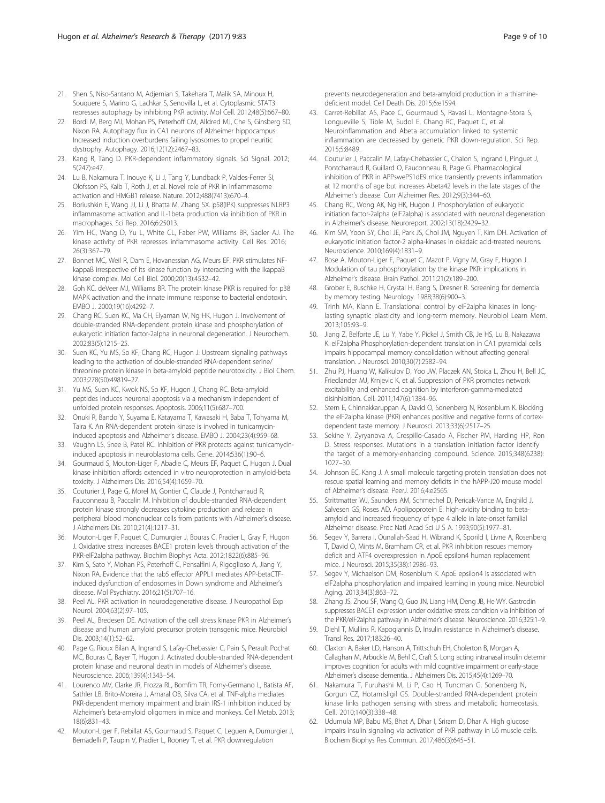- <span id="page-8-0"></span>21. Shen S, Niso-Santano M, Adjemian S, Takehara T, Malik SA, Minoux H, Souquere S, Marino G, Lachkar S, Senovilla L, et al. Cytoplasmic STAT3 represses autophagy by inhibiting PKR activity. Mol Cell. 2012;48(5):667–80.
- 22. Bordi M, Berg MJ, Mohan PS, Peterhoff CM, Alldred MJ, Che S, Ginsberg SD, Nixon RA. Autophagy flux in CA1 neurons of Alzheimer hippocampus: Increased induction overburdens failing lysosomes to propel neuritic dystrophy. Autophagy. 2016;12(12):2467–83.
- 23. Kang R, Tang D. PKR-dependent inflammatory signals. Sci Signal. 2012; 5(247):e47.
- 24. Lu B, Nakamura T, Inouye K, Li J, Tang Y, Lundback P, Valdes-Ferrer SI, Olofsson PS, Kalb T, Roth J, et al. Novel role of PKR in inflammasome activation and HMGB1 release. Nature. 2012;488(7413):670–4.
- 25. Boriushkin E, Wang JJ, Li J, Bhatta M, Zhang SX. p58(IPK) suppresses NLRP3 inflammasome activation and IL-1beta production via inhibition of PKR in macrophages. Sci Rep. 2016;6:25013.
- 26. Yim HC, Wang D, Yu L, White CL, Faber PW, Williams BR, Sadler AJ. The kinase activity of PKR represses inflammasome activity. Cell Res. 2016; 26(3):367–79.
- 27. Bonnet MC, Weil R, Dam E, Hovanessian AG, Meurs EF. PKR stimulates NFkappaB irrespective of its kinase function by interacting with the IkappaB kinase complex. Mol Cell Biol. 2000;20(13):4532–42.
- 28. Goh KC. deVeer MJ, Williams BR. The protein kinase PKR is required for p38 MAPK activation and the innate immune response to bacterial endotoxin. EMBO J. 2000;19(16):4292–7.
- 29. Chang RC, Suen KC, Ma CH, Elyaman W, Ng HK, Hugon J. Involvement of double-stranded RNA-dependent protein kinase and phosphorylation of eukaryotic initiation factor-2alpha in neuronal degeneration. J Neurochem. 2002;83(5):1215–25.
- 30. Suen KC, Yu MS, So KF, Chang RC, Hugon J. Upstream signaling pathways leading to the activation of double-stranded RNA-dependent serine/ threonine protein kinase in beta-amyloid peptide neurotoxicity. J Biol Chem. 2003;278(50):49819–27.
- 31. Yu MS, Suen KC, Kwok NS, So KF, Hugon J, Chang RC. Beta-amyloid peptides induces neuronal apoptosis via a mechanism independent of unfolded protein responses. Apoptosis. 2006;11(5):687–700.
- 32. Onuki R, Bando Y, Suyama E, Katayama T, Kawasaki H, Baba T, Tohyama M, Taira K. An RNA-dependent protein kinase is involved in tunicamycininduced apoptosis and Alzheimer's disease. EMBO J. 2004;23(4):959–68.
- 33. Vaughn LS, Snee B, Patel RC. Inhibition of PKR protects against tunicamycininduced apoptosis in neuroblastoma cells. Gene. 2014;536(1):90–6.
- 34. Gourmaud S, Mouton-Liger F, Abadie C, Meurs EF, Paquet C, Hugon J. Dual kinase inhibition affords extended in vitro neuroprotection in amyloid-beta toxicity. J Alzheimers Dis. 2016;54(4):1659–70.
- 35. Couturier J, Page G, Morel M, Gontier C, Claude J, Pontcharraud R, Fauconneau B, Paccalin M. Inhibition of double-stranded RNA-dependent protein kinase strongly decreases cytokine production and release in peripheral blood mononuclear cells from patients with Alzheimer's disease. J Alzheimers Dis. 2010;21(4):1217–31.
- 36. Mouton-Liger F, Paquet C, Dumurgier J, Bouras C, Pradier L, Gray F, Hugon J. Oxidative stress increases BACE1 protein levels through activation of the PKR-eIF2alpha pathway. Biochim Biophys Acta. 2012;1822(6):885–96.
- 37. Kim S, Sato Y, Mohan PS, Peterhoff C, Pensalfini A, Rigoglioso A, Jiang Y, Nixon RA. Evidence that the rab5 effector APPL1 mediates APP-betaCTFinduced dysfunction of endosomes in Down syndrome and Alzheimer's disease. Mol Psychiatry. 2016;21(5):707–16.
- 38. Peel AL. PKR activation in neurodegenerative disease. J Neuropathol Exp Neurol. 2004;63(2):97–105.
- 39. Peel AL, Bredesen DE. Activation of the cell stress kinase PKR in Alzheimer's disease and human amyloid precursor protein transgenic mice. Neurobiol Dis. 2003;14(1):52–62.
- 40. Page G, Rioux Bilan A, Ingrand S, Lafay-Chebassier C, Pain S, Perault Pochat MC, Bouras C, Bayer T, Hugon J. Activated double-stranded RNA-dependent protein kinase and neuronal death in models of Alzheimer's disease. Neuroscience. 2006;139(4):1343–54.
- 41. Lourenco MV, Clarke JR, Frozza RL, Bomfim TR, Forny-Germano L, Batista AF, Sathler LB, Brito-Moreira J, Amaral OB, Silva CA, et al. TNF-alpha mediates PKR-dependent memory impairment and brain IRS-1 inhibition induced by Alzheimer's beta-amyloid oligomers in mice and monkeys. Cell Metab. 2013; 18(6):831–43.
- 42. Mouton-Liger F, Rebillat AS, Gourmaud S, Paquet C, Leguen A, Dumurgier J, Bernadelli P, Taupin V, Pradier L, Rooney T, et al. PKR downregulation

prevents neurodegeneration and beta-amyloid production in a thiaminedeficient model. Cell Death Dis. 2015;6:e1594.

- 43. Carret-Rebillat AS, Pace C, Gourmaud S, Ravasi L, Montagne-Stora S, Longueville S, Tible M, Sudol E, Chang RC, Paquet C, et al. Neuroinflammation and Abeta accumulation linked to systemic inflammation are decreased by genetic PKR down-regulation. Sci Rep. 2015;5:8489.
- 44. Couturier J, Paccalin M, Lafay-Chebassier C, Chalon S, Ingrand I, Pinguet J, Pontcharraud R, Guillard O, Fauconneau B, Page G. Pharmacological inhibition of PKR in APPswePS1dE9 mice transiently prevents inflammation at 12 months of age but increases Abeta42 levels in the late stages of the Alzheimer's disease. Curr Alzheimer Res. 2012;9(3):344–60.
- 45. Chang RC, Wong AK, Ng HK, Hugon J. Phosphorylation of eukaryotic initiation factor-2alpha (eIF2alpha) is associated with neuronal degeneration in Alzheimer's disease. Neuroreport. 2002;13(18):2429–32.
- 46. Kim SM, Yoon SY, Choi JE, Park JS, Choi JM, Nguyen T, Kim DH. Activation of eukaryotic initiation factor-2 alpha-kinases in okadaic acid-treated neurons. Neuroscience. 2010;169(4):1831–9.
- 47. Bose A, Mouton-Liger F, Paquet C, Mazot P, Vigny M, Gray F, Hugon J. Modulation of tau phosphorylation by the kinase PKR: implications in Alzheimer's disease. Brain Pathol. 2011;21(2):189–200.
- 48. Grober E, Buschke H, Crystal H, Bang S, Dresner R. Screening for dementia by memory testing. Neurology. 1988;38(6):900–3.
- 49. Trinh MA, Klann E. Translational control by eIF2alpha kinases in longlasting synaptic plasticity and long-term memory. Neurobiol Learn Mem. 2013;105:93–9.
- 50. Jiang Z, Belforte JE, Lu Y, Yabe Y, Pickel J, Smith CB, Je HS, Lu B, Nakazawa K. eIF2alpha Phosphorylation-dependent translation in CA1 pyramidal cells impairs hippocampal memory consolidation without affecting general translation. J Neurosci. 2010;30(7):2582–94.
- 51. Zhu PJ, Huang W, Kalikulov D, Yoo JW, Placzek AN, Stoica L, Zhou H, Bell JC, Friedlander MJ, Krnjevic K, et al. Suppression of PKR promotes network excitability and enhanced cognition by interferon-gamma-mediated disinhibition. Cell. 2011;147(6):1384–96.
- 52. Stern E, Chinnakkaruppan A, David O, Sonenberg N, Rosenblum K. Blocking the eIF2alpha kinase (PKR) enhances positive and negative forms of cortexdependent taste memory. J Neurosci. 2013;33(6):2517–25.
- 53. Sekine Y, Zyryanova A, Crespillo-Casado A, Fischer PM, Harding HP, Ron D. Stress responses. Mutations in a translation initiation factor identify the target of a memory-enhancing compound. Science. 2015;348(6238): 1027–30.
- 54. Johnson EC, Kang J. A small molecule targeting protein translation does not rescue spatial learning and memory deficits in the hAPP-J20 mouse model of Alzheimer's disease. PeerJ. 2016;4:e2565.
- 55. Strittmatter WJ, Saunders AM, Schmechel D, Pericak-Vance M, Enghild J, Salvesen GS, Roses AD. Apolipoprotein E: high-avidity binding to betaamyloid and increased frequency of type 4 allele in late-onset familial Alzheimer disease. Proc Natl Acad Sci U S A. 1993;90(5):1977–81.
- 56. Segev Y, Barrera I, Ounallah-Saad H, Wibrand K, Sporild I, Livne A, Rosenberg T, David O, Mints M, Bramham CR, et al. PKR inhibition rescues memory deficit and ATF4 overexpression in ApoE epsilon4 human replacement mice. J Neurosci. 2015;35(38):12986–93.
- 57. Segev Y, Michaelson DM, Rosenblum K. ApoE epsilon4 is associated with eIF2alpha phosphorylation and impaired learning in young mice. Neurobiol Aging. 2013;34(3):863–72.
- 58. Zhang JS, Zhou SF, Wang Q, Guo JN, Liang HM, Deng JB, He WY. Gastrodin suppresses BACE1 expression under oxidative stress condition via inhibition of the PKR/eIF2alpha pathway in Alzheimer's disease. Neuroscience. 2016;325:1–9.
- 59. Diehl T, Mullins R, Kapogiannis D. Insulin resistance in Alzheimer's disease. Transl Res. 2017;183:26–40.
- 60. Claxton A, Baker LD, Hanson A, Trittschuh EH, Cholerton B, Morgan A, Callaghan M, Arbuckle M, Behl C, Craft S. Long acting intranasal insulin detemir improves cognition for adults with mild cognitive impairment or early-stage Alzheimer's disease dementia. J Alzheimers Dis. 2015;45(4):1269–70.
- 61. Nakamura T, Furuhashi M, Li P, Cao H, Tuncman G, Sonenberg N, Gorgun CZ, Hotamisligil GS. Double-stranded RNA-dependent protein kinase links pathogen sensing with stress and metabolic homeostasis. Cell. 2010;140(3):338–48.
- 62. Udumula MP, Babu MS, Bhat A, Dhar I, Sriram D, Dhar A. High glucose impairs insulin signaling via activation of PKR pathway in L6 muscle cells. Biochem Biophys Res Commun. 2017;486(3):645–51.